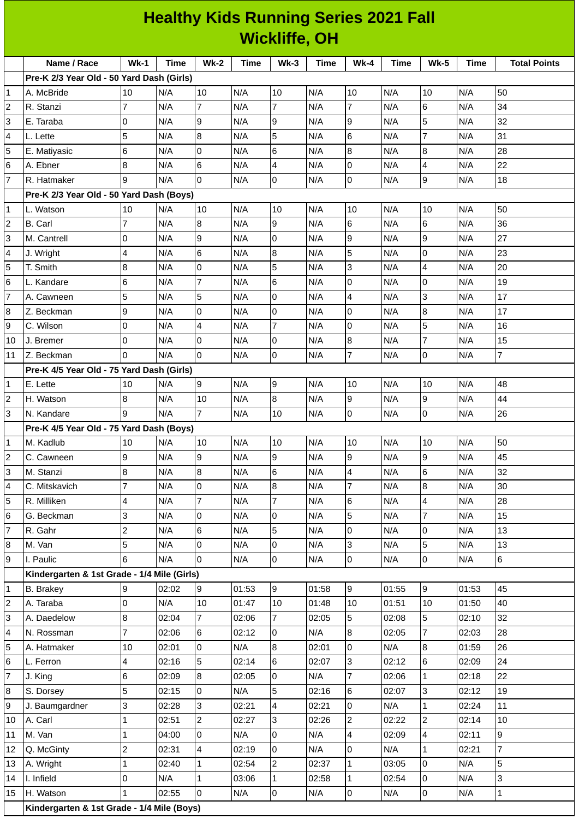|                     | <b>Healthy Kids Running Series 2021 Fall</b><br><b>Wickliffe, OH</b> |                |             |                      |             |                 |       |                 |       |                |       |                     |
|---------------------|----------------------------------------------------------------------|----------------|-------------|----------------------|-------------|-----------------|-------|-----------------|-------|----------------|-------|---------------------|
|                     |                                                                      |                |             |                      |             |                 |       |                 |       |                |       |                     |
|                     | Name / Race<br>Pre-K 2/3 Year Old - 50 Yard Dash (Girls)             | $Wk-1$         | <b>Time</b> | $Wk-2$               | <b>Time</b> | $Wk-3$          | Time  | <b>Wk-4</b>     | Time  | <b>Wk-5</b>    | Time  | <b>Total Points</b> |
| 1                   | A. McBride                                                           | 10             | N/A         | 10                   | N/A         | 10              | N/A   | 10              | N/A   | 10             | N/A   | 50                  |
| 2                   | R. Stanzi                                                            | 7              | N/A         | 7                    | N/A         | $\overline{7}$  | N/A   | 7               | N/A   | 6              | N/A   | 34                  |
| 3                   | E. Taraba                                                            | 0              | N/A         | 9                    | N/A         | 9               | N/A   | 9               | N/A   | 5              | N/A   | 32                  |
| 4                   | L. Lette                                                             | 5              | N/A         | 8                    | N/A         | 5               | N/A   | 6               | N/A   | $\overline{7}$ | N/A   | 31                  |
| 5                   |                                                                      | 6              | N/A         | $\mathbf 0$          | N/A         | 6               | N/A   | 8               | N/A   | 8              | N/A   | 28                  |
|                     | E. Matiyasic                                                         |                |             |                      |             |                 |       |                 |       |                |       | 22                  |
| 6<br>$\overline{7}$ | A. Ebner<br>R. Hatmaker                                              | 8<br>9         | N/A         | 6<br>$\overline{0}$  | N/A         | 4<br>0          | N/A   | 0<br>0          | N/A   | 4<br>9         | N/A   | 18                  |
|                     |                                                                      |                | N/A         |                      | N/A         |                 | N/A   |                 | N/A   |                | N/A   |                     |
|                     | Pre-K 2/3 Year Old - 50 Yard Dash (Boys)                             |                |             | 10                   | N/A         | 10              | N/A   | 10              | N/A   | 10             | N/A   | 50                  |
| 1                   | L. Watson                                                            | 10             | N/A         |                      |             |                 |       |                 |       |                |       |                     |
| 2                   | <b>B.</b> Carl                                                       | $\overline{7}$ | N/A         | 8                    | N/A         | 9               | N/A   | 6               | N/A   | 6              | N/A   | 36                  |
| 3                   | M. Cantrell                                                          | 0              | N/A         | 9                    | N/A         | 0               | N/A   | 9               | N/A   | 9              | N/A   | 27                  |
| 4                   | J. Wright                                                            | 4              | N/A         | 6                    | N/A         | 8               | N/A   | 5               | N/A   | 0              | N/A   | 23                  |
| 5                   | T. Smith                                                             | 8              | N/A         | 0                    | N/A         | 5               | N/A   | 3               | N/A   | $\overline{4}$ | N/A   | 20                  |
| 6                   | L. Kandare                                                           | 6              | N/A         | 7                    | N/A         | 6               | N/A   | 0               | N/A   | 0              | N/A   | 19                  |
| 7                   | A. Cawneen                                                           | 5              | N/A         | 5                    | N/A         | $\overline{0}$  | N/A   | $\overline{4}$  | N/A   | 3              | N/A   | 17                  |
| 8                   | Z. Beckman                                                           | 9              | N/A         | 0                    | N/A         | 0               | N/A   | 0               | N/A   | 8              | N/A   | 17                  |
| 9                   | C. Wilson                                                            | 0              | N/A         | 4                    | N/A         | $\overline{7}$  | N/A   | <sup>o</sup>    | N/A   | 5              | N/A   | 16                  |
| 10                  | J. Bremer                                                            | 0              | N/A         | 0                    | N/A         | 0               | N/A   | 8               | N/A   | $\overline{7}$ | N/A   | 15                  |
| 11                  | Z. Beckman                                                           | $\Omega$       | N/A         | $\Omega$             | N/A         | 0               | N/A   | $\overline{7}$  | N/A   | 0              | N/A   | $\overline{7}$      |
|                     | Pre-K 4/5 Year Old - 75 Yard Dash (Girls)                            |                |             |                      |             |                 |       |                 |       |                |       |                     |
| 1                   | E. Lette                                                             | 10             | N/A         | $\overline{9}$       | N/A         | 9               | N/A   | 10              | N/A   | 10             | N/A   | 48                  |
| 2                   | H. Watson                                                            | 8              | N/A         | 10<br>$\overline{7}$ | N/A         | 8               | N/A   | 9               | N/A   | 9              | N/A   | 44                  |
| 3                   | N. Kandare                                                           | 9              | N/A         |                      | N/A         | 10              | N/A   | 0               | N/A   | 0              | N/A   | 26                  |
|                     | Pre-K 4/5 Year Old - 75 Yard Dash (Boys)                             |                |             |                      |             |                 |       |                 |       |                |       |                     |
| 1                   | M. Kadlub                                                            | 10             | N/A         | 10                   | N/A         | 10              | N/A   | 10              | N/A   | 10             | N/A   | 50                  |
| 2                   | C. Cawneen                                                           | 9              | N/A         | 9                    | N/A         | 9               | N/A   | 9               | N/A   | 9              | N/A   | 45                  |
| 3                   | M. Stanzi                                                            | 8              | N/A         | 8                    | N/A         | $6\phantom{a}$  | N/A   | $\overline{4}$  | N/A   | 6              | N/A   | 32                  |
| 4                   | C. Mitskavich                                                        | $\overline{7}$ | N/A         | 0                    | N/A         | $\, 8$          | N/A   | $\overline{7}$  | N/A   | $8\,$          | N/A   | 30                  |
| 5                   | R. Milliken                                                          | 4              | N/A         | $\overline{7}$       | N/A         | $\overline{7}$  | N/A   | $\,6$           | N/A   | 4              | N/A   | 28                  |
| 6                   | G. Beckman                                                           | 3              | N/A         | 0                    | N/A         | 0               | N/A   | 5               | N/A   | $\overline{7}$ | N/A   | 15                  |
| 7                   | R. Gahr                                                              | $\overline{c}$ | N/A         | 6                    | N/A         | 5               | N/A   | 0               | N/A   | $\Omega$       | N/A   | 13                  |
| 8                   | M. Van                                                               | 5              | N/A         | 0<br>$\Omega$        | N/A         | $\pmb{0}$       | N/A   | 3               | N/A   | 5              | N/A   | 13                  |
| 9                   | I. Paulic                                                            | 6              | N/A         |                      | N/A         | lo              | N/A   | 0               | N/A   | $\overline{0}$ | N/A   | $6\phantom{.}6$     |
|                     | Kindergarten & 1st Grade - 1/4 Mile (Girls)                          |                |             |                      |             |                 |       |                 |       |                |       |                     |
| 1                   | <b>B.</b> Brakey                                                     | 9              | 02:02       | 9                    | 01:53       | 9               | 01:58 | 9               | 01:55 | $\overline{9}$ | 01:53 | 45                  |
| 2                   | A. Taraba                                                            | 0              | N/A         | 10                   | 01:47       | 10              | 01:48 | 10              | 01:51 | 10             | 01:50 | 40                  |
| 3                   | A. Daedelow                                                          | 8              | 02:04       | $\overline{7}$       | 02:06       | $\overline{7}$  | 02:05 | 5               | 02:08 | 5              | 02:10 | 32                  |
| 4                   | N. Rossman                                                           | $\overline{7}$ | 02:06       | 6                    | 02:12       | 0               | N/A   | 8               | 02:05 | $\overline{7}$ | 02:03 | 28                  |
| 5                   | A. Hatmaker                                                          | $10\,$         | 02:01       | $\overline{0}$       | N/A         | 8               | 02:01 | 0               | N/A   | 8              | 01:59 | 26                  |
| 6                   | L. Ferron                                                            | 4              | 02:16       | 5                    | 02:14       | $6\phantom{.}6$ | 02:07 | 3               | 02:12 | 6              | 02:09 | 24                  |
| $\overline{7}$      | J. King                                                              | 6              | 02:09       | 8                    | 02:05       | $\pmb{0}$       | N/A   | $\overline{7}$  | 02:06 | $\mathbf{1}$   | 02:18 | 22                  |
| 8                   | S. Dorsey                                                            | 5              | 02:15       | 0                    | N/A         | 5               | 02:16 | $6\phantom{.}6$ | 02:07 | 3              | 02:12 | 19                  |
| 9                   | J. Baumgardner                                                       | 3              | 02:28       | 3                    | 02:21       | $\overline{4}$  | 02:21 | $\pmb{0}$       | N/A   | $\mathbf{1}$   | 02:24 | 11                  |
| 10                  | A. Carl                                                              | $\mathbf{1}$   | 02:51       | $\overline{2}$       | 02:27       | 3               | 02:26 | $\overline{c}$  | 02:22 | $\overline{2}$ | 02:14 | 10                  |
| 11                  | M. Van                                                               | $\mathbf 1$    | 04:00       | 0                    | N/A         | $\pmb{0}$       | N/A   | $\overline{4}$  | 02:09 | 4              | 02:11 | 9                   |
| 12                  | Q. McGinty                                                           | $\overline{c}$ | 02:31       | 4                    | 02:19       | 0               | N/A   | 0               | N/A   | $\mathbf{1}$   | 02:21 | $\overline{7}$      |
| 13                  | A. Wright                                                            | $\mathbf 1$    | 02:40       | $\mathbf{1}$         | 02:54       | $\overline{2}$  | 02:37 | $\mathbf{1}$    | 03:05 | 0              | N/A   | 5                   |
| 14                  | I. Infield                                                           | 0              | N/A         | $\mathbf{1}$         | 03:06       | $\mathbf 1$     | 02:58 | $\mathbf{1}$    | 02:54 | 0              | N/A   | $\overline{3}$      |
| 15                  | H. Watson                                                            | $\mathbf 1$    | 02:55       | $\overline{0}$       | N/A         | $\overline{0}$  | N/A   | $\overline{0}$  | N/A   | $\overline{0}$ | N/A   | $\mathbf 1$         |
|                     |                                                                      |                |             |                      |             |                 |       |                 |       |                |       |                     |

**Kindergarten & 1st Grade - 1/4 Mile (Boys)**